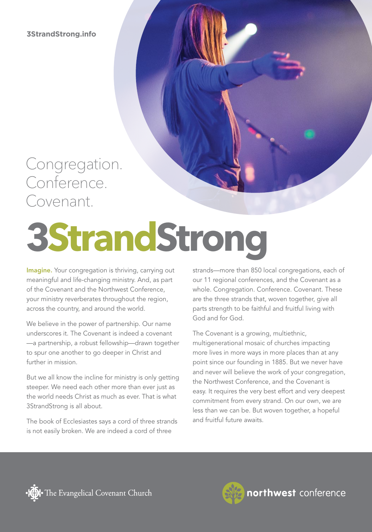**3StrandStrong.info**

### Congregation. Conference. Covenant.

# **3StrandStrong**

Imagine. Your congregation is thriving, carrying out meaningful and life-changing ministry. And, as part of the Covenant and the Northwest Conference, your ministry reverberates throughout the region, across the country, and around the world.

We believe in the power of partnership. Our name underscores it. The Covenant is indeed a covenant —a partnership, a robust fellowship—drawn together to spur one another to go deeper in Christ and further in mission.

But we all know the incline for ministry is only getting steeper. We need each other more than ever just as the world needs Christ as much as ever. That is what 3StrandStrong is all about.

The book of Ecclesiastes says a cord of three strands is not easily broken. We are indeed a cord of three

strands—more than 850 local congregations, each of our 11 regional conferences, and the Covenant as a whole. Congregation. Conference. Covenant. These are the three strands that, woven together, give all parts strength to be faithful and fruitful living with God and for God.

The Covenant is a growing, multiethnic, multigenerational mosaic of churches impacting more lives in more ways in more places than at any point since our founding in 1885. But we never have and never will believe the work of your congregation, the Northwest Conference, and the Covenant is easy. It requires the very best effort and very deepest commitment from every strand. On our own, we are less than we can be. But woven together, a hopeful and fruitful future awaits.





northwest conference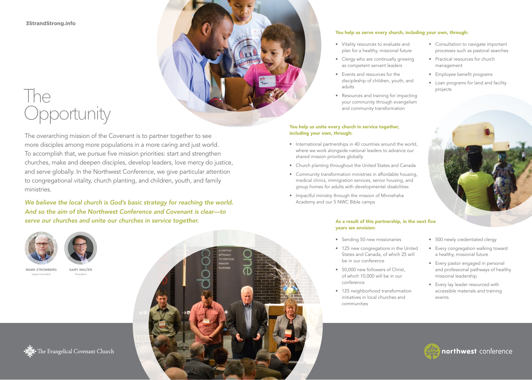**3StrandStrong.info**

## The **Opportunity**

The overarching mission of the Covenant is to partner together to see more disciples among more populations in a more caring and just world. To accomplish that, we pursue five mission priorities: start and strengthen churches, make and deepen disciples, develop leaders, love mercy do justice, and serve globally. In the Northwest Conference, we give particular attention to congregational vitality, church planting, and children, youth, and family ministries.

*We believe the local church is God's basic strategy for reaching the world. And so the aim of the Northwest Conference and Covenant is clear—to serve our churches and unite our churches in service together.*





GARY WALTER President

MARK STROMBERG Superintendent



### You help us serve every church, including your own, through:

- Vitality resources to evaluate and plan for a healthy, missional future
- Clergy who are continually growing as competent servant leaders
- Events and resources for the discipleship of children, youth, and adults
- Resources and training for impacting your community through evangelism and community transformation

### You help us unite every church in service together, including your own, through:

- International partnerships in 40 countries around the world, where we work alongside national leaders to advance our shared mission priorities globally
- Church planting throughout the United States and Canada
- Community transformation ministries in affordable housing, medical clinics, immigration services, senior housing, and group homes for adults with developmental disabilities
- Impactful ministry through the mission of Minnehaha Academy and our 5 NWC Bible camps

### As a result of this partnership, in the next five years we envision:

- Sending 50 new missionaries
- 125 new congregations in the United States and Canada, of which 25 will be in our conference
- 50,000 new followers of Christ, of which 10,000 will be in our conference
- 125 neighborhood transformation initiatives in local churches and communities
- Consultation to navigate important processes such as pastoral searches
- Practical resources for church management
- Employee benefit programs
- Loan programs for land and facility projects



- 500 newly credentialed clergy
- Every congregation walking toward a healthy, missional future
- Every pastor engaged in personal and professional pathways of healthy missional leadership
- Every lay leader resourced with accessible materials and training events